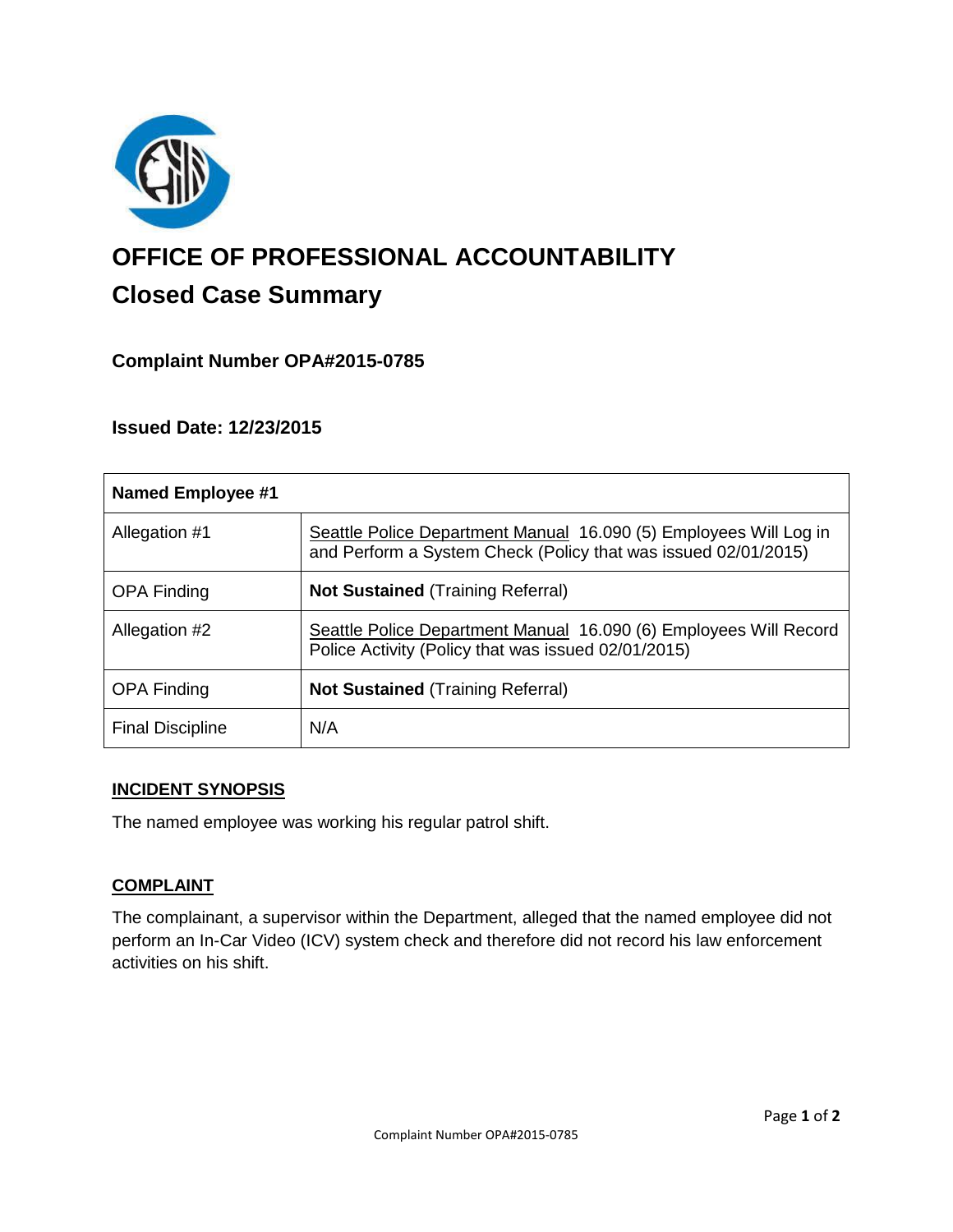

# **OFFICE OF PROFESSIONAL ACCOUNTABILITY Closed Case Summary**

# **Complaint Number OPA#2015-0785**

## **Issued Date: 12/23/2015**

| Named Employee #1       |                                                                                                                                     |
|-------------------------|-------------------------------------------------------------------------------------------------------------------------------------|
| Allegation #1           | Seattle Police Department Manual 16.090 (5) Employees Will Log in<br>and Perform a System Check (Policy that was issued 02/01/2015) |
| <b>OPA Finding</b>      | <b>Not Sustained (Training Referral)</b>                                                                                            |
| Allegation #2           | Seattle Police Department Manual 16.090 (6) Employees Will Record<br>Police Activity (Policy that was issued 02/01/2015)            |
| <b>OPA Finding</b>      | <b>Not Sustained (Training Referral)</b>                                                                                            |
| <b>Final Discipline</b> | N/A                                                                                                                                 |

### **INCIDENT SYNOPSIS**

The named employee was working his regular patrol shift.

## **COMPLAINT**

The complainant, a supervisor within the Department, alleged that the named employee did not perform an In-Car Video (ICV) system check and therefore did not record his law enforcement activities on his shift.